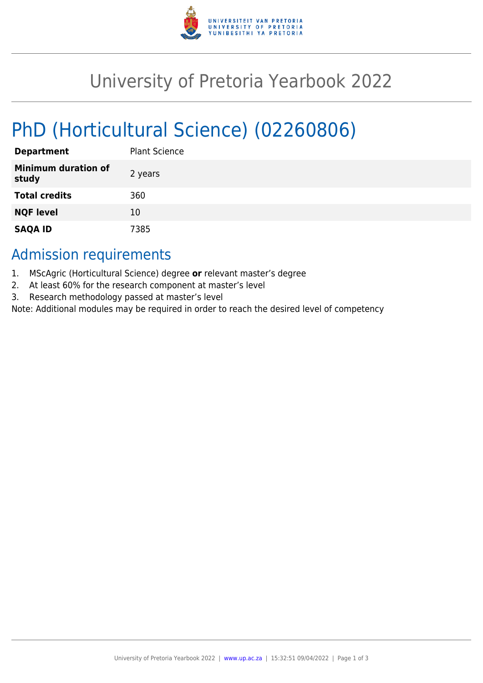

## University of Pretoria Yearbook 2022

# PhD (Horticultural Science) (02260806)

| <b>Department</b>                   | <b>Plant Science</b> |
|-------------------------------------|----------------------|
| <b>Minimum duration of</b><br>study | 2 years              |
| <b>Total credits</b>                | 360                  |
| <b>NQF level</b>                    | 10                   |
| <b>SAQA ID</b>                      | 7385                 |

### Admission requirements

- 1. MScAgric (Horticultural Science) degree **or** relevant master's degree
- 2. At least 60% for the research component at master's level
- 3. Research methodology passed at master's level

Note: Additional modules may be required in order to reach the desired level of competency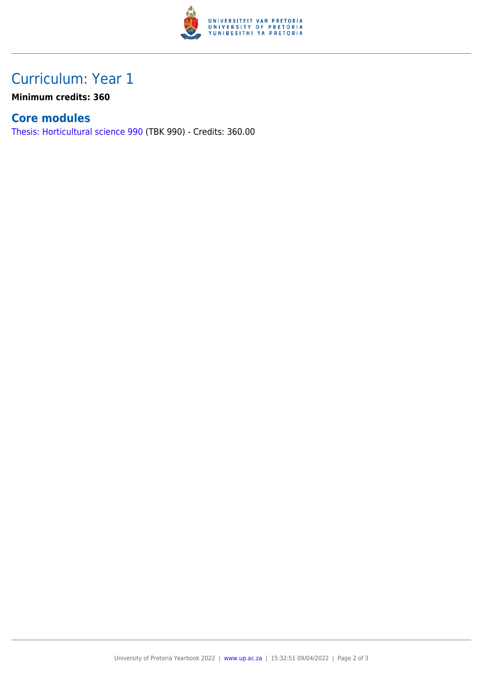

## Curriculum: Year 1

**Minimum credits: 360**

#### **Core modules**

[Thesis: Horticultural science 990](https://www.up.ac.za/yearbooks/2022/modules/view/TBK 990) (TBK 990) - Credits: 360.00